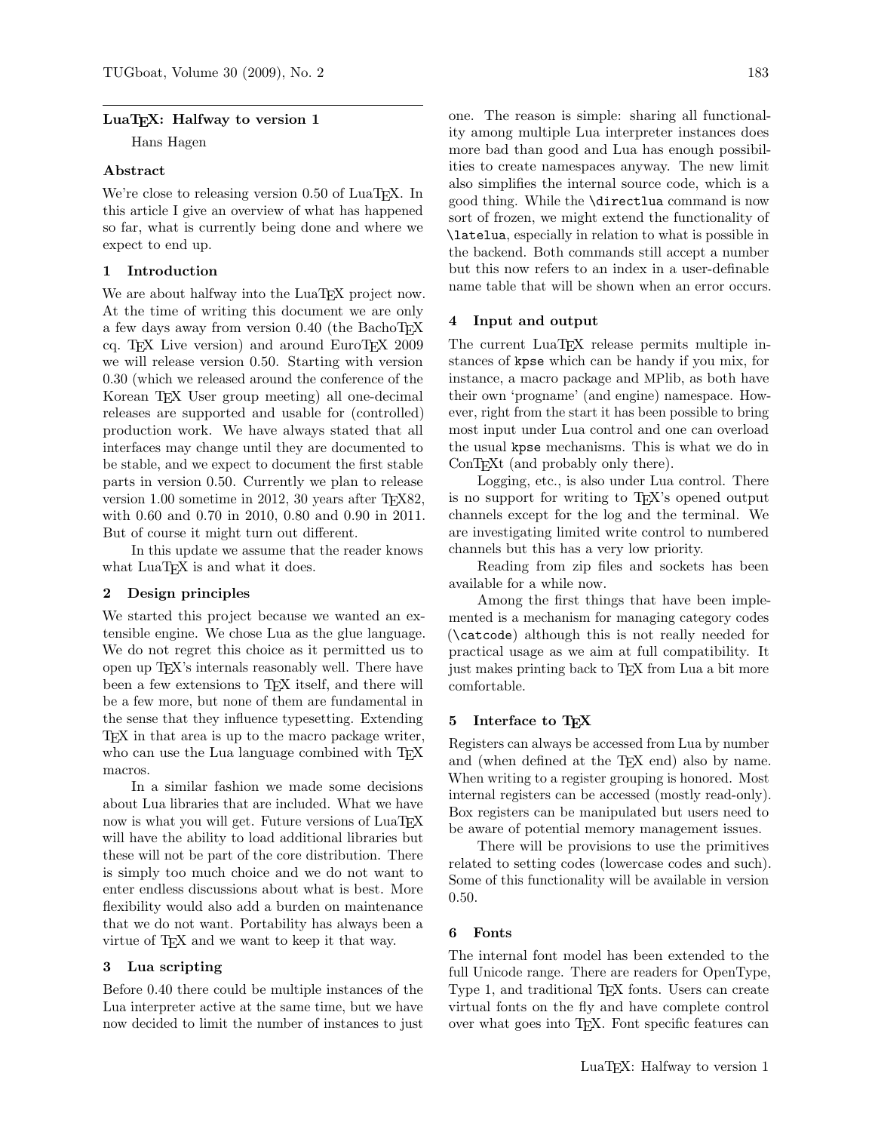#### LuaT<sub>F</sub>X: Halfway to version 1

Hans Hagen

### Abstract

We're close to releasing version 0.50 of LuaT<sub>EX</sub>. In this article I give an overview of what has happened so far, what is currently being done and where we expect to end up.

### 1 Introduction

We are about halfway into the LuaT<sub>EX</sub> project now. At the time of writing this document we are only a few days away from version 0.40 (the BachoTEX cq. TEX Live version) and around EuroTEX 2009 we will release version 0.50. Starting with version 0.30 (which we released around the conference of the Korean TEX User group meeting) all one-decimal releases are supported and usable for (controlled) production work. We have always stated that all interfaces may change until they are documented to be stable, and we expect to document the first stable parts in version 0.50. Currently we plan to release version 1.00 sometime in 2012, 30 years after TEX82, with 0.60 and 0.70 in 2010, 0.80 and 0.90 in 2011. But of course it might turn out different.

In this update we assume that the reader knows what LuaT<sub>EX</sub> is and what it does.

## 2 Design principles

We started this project because we wanted an extensible engine. We chose Lua as the glue language. We do not regret this choice as it permitted us to open up TEX's internals reasonably well. There have been a few extensions to TEX itself, and there will be a few more, but none of them are fundamental in the sense that they influence typesetting. Extending TEX in that area is up to the macro package writer, who can use the Lua language combined with TEX macros.

In a similar fashion we made some decisions about Lua libraries that are included. What we have now is what you will get. Future versions of LuaT<sub>EX</sub> will have the ability to load additional libraries but these will not be part of the core distribution. There is simply too much choice and we do not want to enter endless discussions about what is best. More flexibility would also add a burden on maintenance that we do not want. Portability has always been a virtue of TEX and we want to keep it that way.

## 3 Lua scripting

Before 0.40 there could be multiple instances of the Lua interpreter active at the same time, but we have now decided to limit the number of instances to just

one. The reason is simple: sharing all functionality among multiple Lua interpreter instances does more bad than good and Lua has enough possibilities to create namespaces anyway. The new limit also simplifies the internal source code, which is a good thing. While the \directlua command is now sort of frozen, we might extend the functionality of \latelua, especially in relation to what is possible in the backend. Both commands still accept a number but this now refers to an index in a user-definable name table that will be shown when an error occurs.

### 4 Input and output

The current LuaTEX release permits multiple instances of kpse which can be handy if you mix, for instance, a macro package and MPlib, as both have their own 'progname' (and engine) namespace. However, right from the start it has been possible to bring most input under Lua control and one can overload the usual kpse mechanisms. This is what we do in ConT<sub>E</sub>X<sup>t</sup> (and probably only there).

Logging, etc., is also under Lua control. There is no support for writing to TEX's opened output channels except for the log and the terminal. We are investigating limited write control to numbered channels but this has a very low priority.

Reading from zip files and sockets has been available for a while now.

Among the first things that have been implemented is a mechanism for managing category codes (\catcode) although this is not really needed for practical usage as we aim at full compatibility. It just makes printing back to T<sub>E</sub>X from Lua a bit more comfortable.

### 5 Interface to TEX

Registers can always be accessed from Lua by number and (when defined at the TEX end) also by name. When writing to a register grouping is honored. Most internal registers can be accessed (mostly read-only). Box registers can be manipulated but users need to be aware of potential memory management issues.

There will be provisions to use the primitives related to setting codes (lowercase codes and such). Some of this functionality will be available in version 0.50.

## 6 Fonts

The internal font model has been extended to the full Unicode range. There are readers for OpenType, Type 1, and traditional TEX fonts. Users can create virtual fonts on the fly and have complete control over what goes into TEX. Font specific features can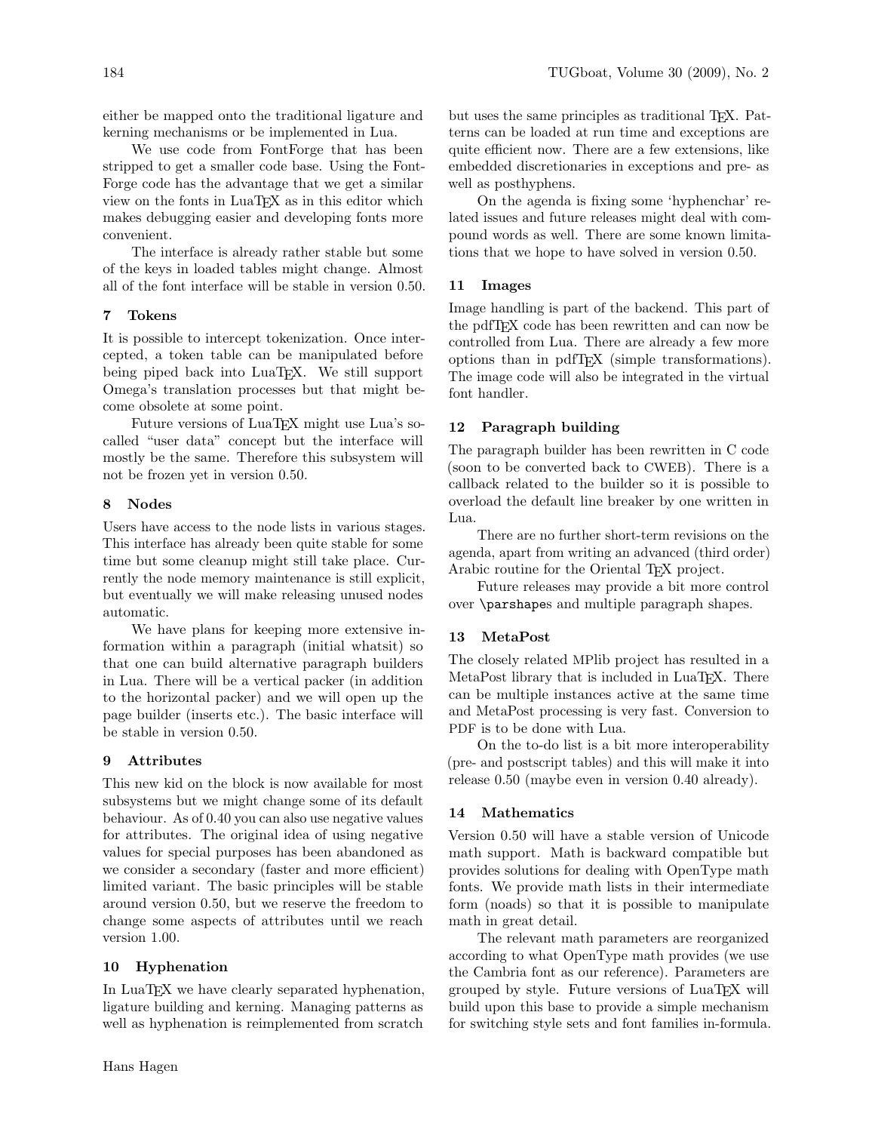either be mapped onto the traditional ligature and kerning mechanisms or be implemented in Lua.

We use code from FontForge that has been stripped to get a smaller code base. Using the Font-Forge code has the advantage that we get a similar view on the fonts in LuaTEX as in this editor which makes debugging easier and developing fonts more convenient.

The interface is already rather stable but some of the keys in loaded tables might change. Almost all of the font interface will be stable in version 0.50.

## 7 Tokens

It is possible to intercept tokenization. Once intercepted, a token table can be manipulated before being piped back into LuaT<sub>F</sub>X. We still support Omega's translation processes but that might become obsolete at some point.

Future versions of LuaTEX might use Lua's socalled "user data" concept but the interface will mostly be the same. Therefore this subsystem will not be frozen yet in version 0.50.

# 8 Nodes

Users have access to the node lists in various stages. This interface has already been quite stable for some time but some cleanup might still take place. Currently the node memory maintenance is still explicit, but eventually we will make releasing unused nodes automatic.

We have plans for keeping more extensive information within a paragraph (initial whatsit) so that one can build alternative paragraph builders in Lua. There will be a vertical packer (in addition to the horizontal packer) and we will open up the page builder (inserts etc.). The basic interface will be stable in version 0.50.

## 9 Attributes

This new kid on the block is now available for most subsystems but we might change some of its default behaviour. As of 0.40 you can also use negative values for attributes. The original idea of using negative values for special purposes has been abandoned as we consider a secondary (faster and more efficient) limited variant. The basic principles will be stable around version 0.50, but we reserve the freedom to change some aspects of attributes until we reach version 1.00.

## 10 Hyphenation

In LuaTEX we have clearly separated hyphenation, ligature building and kerning. Managing patterns as well as hyphenation is reimplemented from scratch

but uses the same principles as traditional T<sub>E</sub>X. Patterns can be loaded at run time and exceptions are quite efficient now. There are a few extensions, like embedded discretionaries in exceptions and pre- as well as posthyphens.

On the agenda is fixing some 'hyphenchar' related issues and future releases might deal with compound words as well. There are some known limitations that we hope to have solved in version 0.50.

# 11 Images

Image handling is part of the backend. This part of the pdfTEX code has been rewritten and can now be controlled from Lua. There are already a few more options than in pdfTEX (simple transformations). The image code will also be integrated in the virtual font handler.

# 12 Paragraph building

The paragraph builder has been rewritten in C code (soon to be converted back to CWEB). There is a callback related to the builder so it is possible to overload the default line breaker by one written in Lua.

There are no further short-term revisions on the agenda, apart from writing an advanced (third order) Arabic routine for the Oriental T<sub>EX</sub> project.

Future releases may provide a bit more control over \parshapes and multiple paragraph shapes.

# 13 MetaPost

The closely related MPlib project has resulted in a MetaPost library that is included in LuaT<sub>EX</sub>. There can be multiple instances active at the same time and MetaPost processing is very fast. Conversion to PDF is to be done with Lua.

On the to-do list is a bit more interoperability (pre- and postscript tables) and this will make it into release 0.50 (maybe even in version 0.40 already).

# 14 Mathematics

Version 0.50 will have a stable version of Unicode math support. Math is backward compatible but provides solutions for dealing with OpenType math fonts. We provide math lists in their intermediate form (noads) so that it is possible to manipulate math in great detail.

The relevant math parameters are reorganized according to what OpenType math provides (we use the Cambria font as our reference). Parameters are grouped by style. Future versions of LuaTEX will build upon this base to provide a simple mechanism for switching style sets and font families in-formula.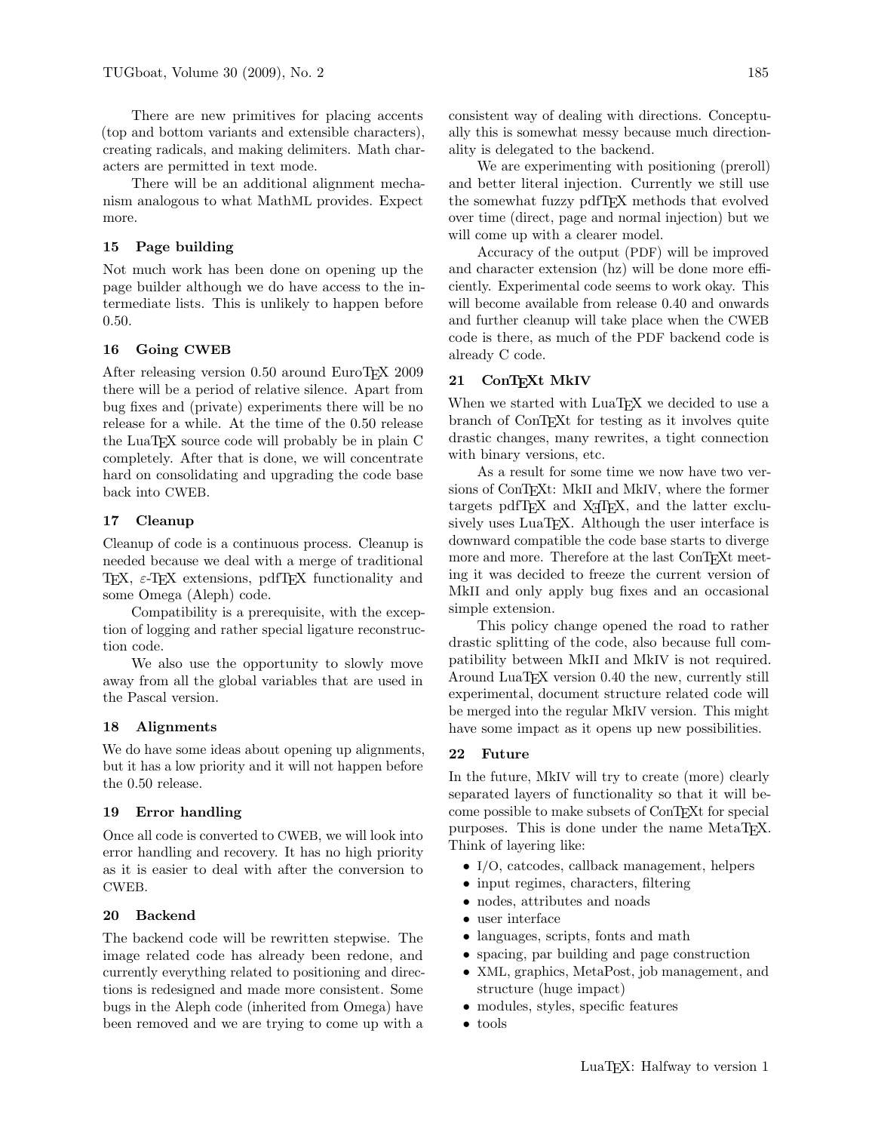There are new primitives for placing accents (top and bottom variants and extensible characters), creating radicals, and making delimiters. Math characters are permitted in text mode.

There will be an additional alignment mechanism analogous to what MathML provides. Expect more.

## 15 Page building

Not much work has been done on opening up the page builder although we do have access to the intermediate lists. This is unlikely to happen before 0.50.

## 16 Going CWEB

After releasing version 0.50 around EuroT<sub>EX</sub> 2009 there will be a period of relative silence. Apart from bug fixes and (private) experiments there will be no release for a while. At the time of the 0.50 release the LuaTEX source code will probably be in plain C completely. After that is done, we will concentrate hard on consolidating and upgrading the code base back into CWEB.

### 17 Cleanup

Cleanup of code is a continuous process. Cleanup is needed because we deal with a merge of traditional TEX,  $\varepsilon$ -TEX extensions, pdfTEX functionality and some Omega (Aleph) code.

Compatibility is a prerequisite, with the exception of logging and rather special ligature reconstruction code.

We also use the opportunity to slowly move away from all the global variables that are used in the Pascal version.

### 18 Alignments

We do have some ideas about opening up alignments, but it has a low priority and it will not happen before the 0.50 release.

## 19 Error handling

Once all code is converted to CWEB, we will look into error handling and recovery. It has no high priority as it is easier to deal with after the conversion to CWEB.

### 20 Backend

The backend code will be rewritten stepwise. The image related code has already been redone, and currently everything related to positioning and directions is redesigned and made more consistent. Some bugs in the Aleph code (inherited from Omega) have been removed and we are trying to come up with a

consistent way of dealing with directions. Conceptually this is somewhat messy because much directionality is delegated to the backend.

We are experimenting with positioning (preroll) and better literal injection. Currently we still use the somewhat fuzzy pdfTEX methods that evolved over time (direct, page and normal injection) but we will come up with a clearer model.

Accuracy of the output (PDF) will be improved and character extension (hz) will be done more efficiently. Experimental code seems to work okay. This will become available from release 0.40 and onwards and further cleanup will take place when the CWEB code is there, as much of the PDF backend code is already C code.

## 21 ConTFXt MkIV

When we started with LuaTFX we decided to use a branch of ConT<sub>E</sub>X<sup>t</sup> for testing as it involves quite drastic changes, many rewrites, a tight connection with binary versions, etc.

As a result for some time we now have two versions of ConT<sub>E</sub>X<sup>t</sup>: MkII and MkIV, where the former targets pdfT<sub>F</sub> $X$  and  $X$ <sub>T</sub> $T$ <sub>F</sub> $X$ , and the latter exclusively uses LuaT<sub>EX</sub>. Although the user interface is downward compatible the code base starts to diverge more and more. Therefore at the last ConTEXt meeting it was decided to freeze the current version of MkII and only apply bug fixes and an occasional simple extension.

This policy change opened the road to rather drastic splitting of the code, also because full compatibility between MkII and MkIV is not required. Around LuaTEX version 0.40 the new, currently still experimental, document structure related code will be merged into the regular MkIV version. This might have some impact as it opens up new possibilities.

## 22 Future

In the future, MkIV will try to create (more) clearly separated layers of functionality so that it will become possible to make subsets of ConTEXt for special purposes. This is done under the name MetaTFX. Think of layering like:

- I/O, catcodes, callback management, helpers
- input regimes, characters, filtering
- nodes, attributes and noads
- user interface
- languages, scripts, fonts and math
- spacing, par building and page construction
- XML, graphics, MetaPost, job management, and structure (huge impact)
- modules, styles, specific features
- tools